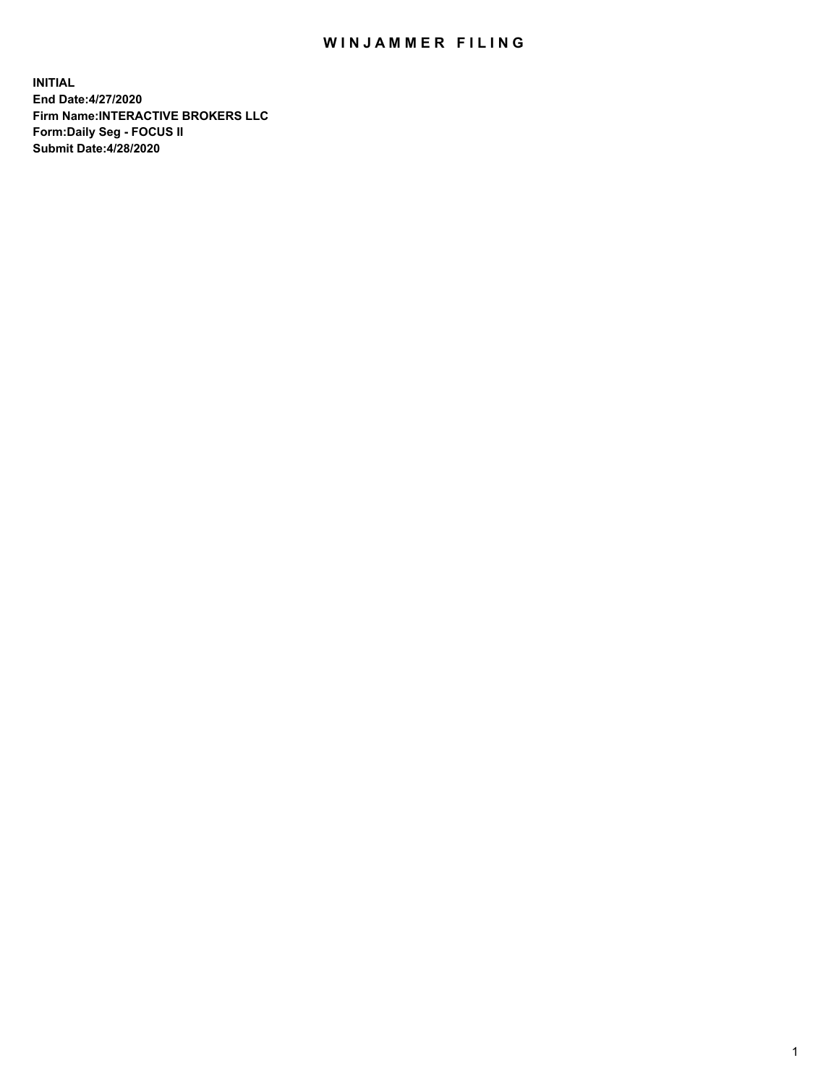## WIN JAMMER FILING

**INITIAL End Date:4/27/2020 Firm Name:INTERACTIVE BROKERS LLC Form:Daily Seg - FOCUS II Submit Date:4/28/2020**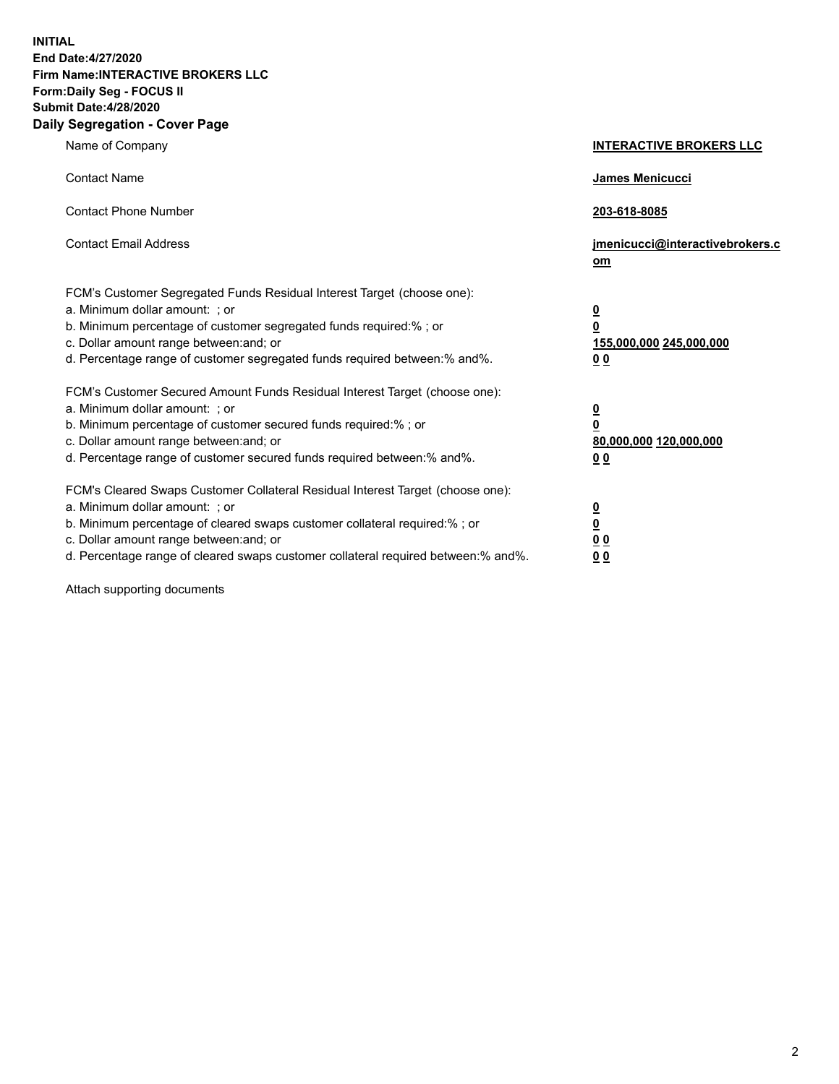**INITIAL End Date:4/27/2020 Firm Name:INTERACTIVE BROKERS LLC Form:Daily Seg - FOCUS II Submit Date:4/28/2020 Daily Segregation - Cover Page**

| Name of Company                                                                                                                                                                                                                                                                                                                | <b>INTERACTIVE BROKERS LLC</b>                                                   |
|--------------------------------------------------------------------------------------------------------------------------------------------------------------------------------------------------------------------------------------------------------------------------------------------------------------------------------|----------------------------------------------------------------------------------|
| <b>Contact Name</b>                                                                                                                                                                                                                                                                                                            | James Menicucci                                                                  |
| <b>Contact Phone Number</b>                                                                                                                                                                                                                                                                                                    | 203-618-8085                                                                     |
| <b>Contact Email Address</b>                                                                                                                                                                                                                                                                                                   | jmenicucci@interactivebrokers.c<br>om                                            |
| FCM's Customer Segregated Funds Residual Interest Target (choose one):<br>a. Minimum dollar amount: ; or<br>b. Minimum percentage of customer segregated funds required:% ; or<br>c. Dollar amount range between: and; or<br>d. Percentage range of customer segregated funds required between:% and%.                         | <u>0</u><br>$\overline{\mathbf{0}}$<br>155,000,000 245,000,000<br>0 <sub>0</sub> |
| FCM's Customer Secured Amount Funds Residual Interest Target (choose one):<br>a. Minimum dollar amount: ; or<br>b. Minimum percentage of customer secured funds required:% ; or<br>c. Dollar amount range between: and; or<br>d. Percentage range of customer secured funds required between:% and%.                           | <u>0</u><br>$\overline{\mathbf{0}}$<br>80,000,000 120,000,000<br>0 <sub>0</sub>  |
| FCM's Cleared Swaps Customer Collateral Residual Interest Target (choose one):<br>a. Minimum dollar amount: ; or<br>b. Minimum percentage of cleared swaps customer collateral required:% ; or<br>c. Dollar amount range between: and; or<br>d. Percentage range of cleared swaps customer collateral required between:% and%. | <u>0</u><br>$\underline{\mathbf{0}}$<br>0 <sub>0</sub><br>0 <sub>0</sub>         |

Attach supporting documents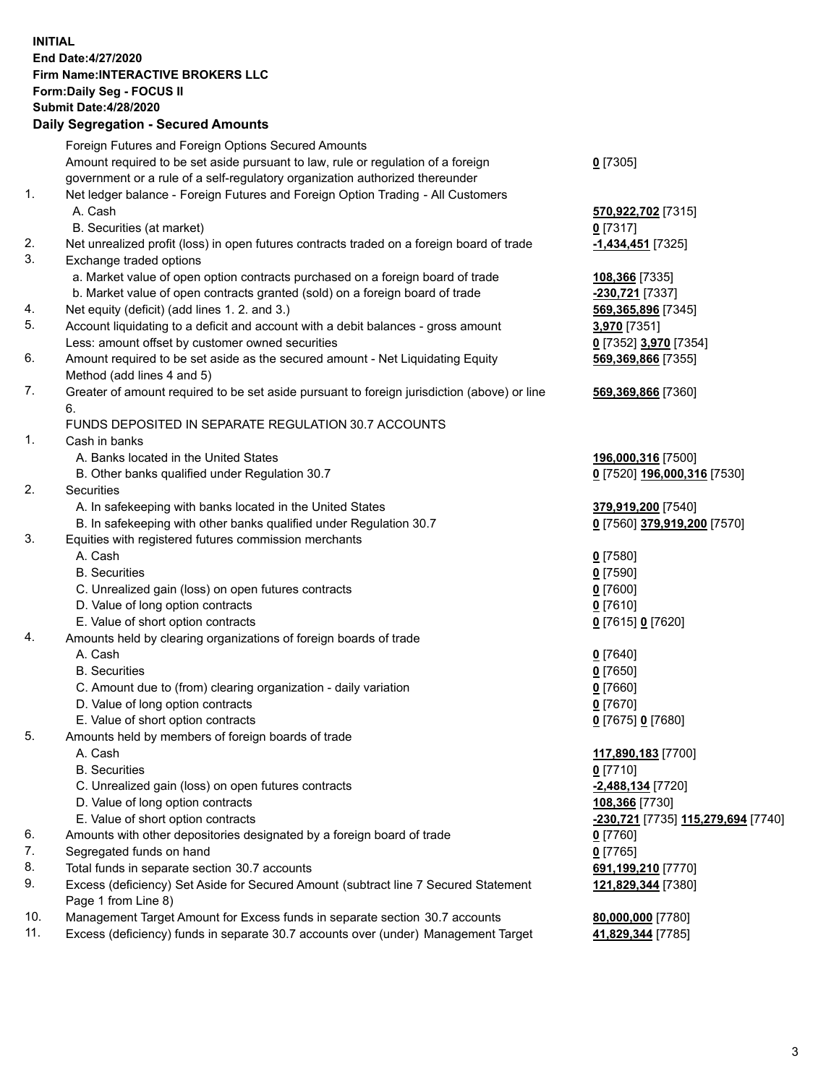**INITIAL End Date:4/27/2020 Firm Name:INTERACTIVE BROKERS LLC Form:Daily Seg - FOCUS II Submit Date:4/28/2020 Daily Segregation - Secured Amounts**

|                | <u>Dany Ocymganon - Occarca Amoante</u>                                                     |                                                 |
|----------------|---------------------------------------------------------------------------------------------|-------------------------------------------------|
|                | Foreign Futures and Foreign Options Secured Amounts                                         |                                                 |
|                | Amount required to be set aside pursuant to law, rule or regulation of a foreign            | $0$ [7305]                                      |
|                | government or a rule of a self-regulatory organization authorized thereunder                |                                                 |
| $\mathbf{1}$ . | Net ledger balance - Foreign Futures and Foreign Option Trading - All Customers             |                                                 |
|                | A. Cash                                                                                     | 570,922,702 [7315]                              |
|                | B. Securities (at market)                                                                   | $0$ [7317]                                      |
| 2.             | Net unrealized profit (loss) in open futures contracts traded on a foreign board of trade   | -1,434,451 <sup>[7325]</sup>                    |
| 3.             | Exchange traded options                                                                     |                                                 |
|                | a. Market value of open option contracts purchased on a foreign board of trade              | 108,366 [7335]                                  |
|                | b. Market value of open contracts granted (sold) on a foreign board of trade                | 230,721 [7337]                                  |
| 4.             | Net equity (deficit) (add lines 1. 2. and 3.)                                               | 569,365,896 [7345]                              |
| 5.             | Account liquidating to a deficit and account with a debit balances - gross amount           | 3,970 [7351]                                    |
|                | Less: amount offset by customer owned securities                                            | 0 [7352] 3,970 [7354]                           |
| 6.             | Amount required to be set aside as the secured amount - Net Liquidating Equity              | 569,369,866 [7355]                              |
|                | Method (add lines 4 and 5)                                                                  |                                                 |
| 7.             | Greater of amount required to be set aside pursuant to foreign jurisdiction (above) or line | 569,369,866 [7360]                              |
|                | 6.                                                                                          |                                                 |
| $\mathbf{1}$ . | FUNDS DEPOSITED IN SEPARATE REGULATION 30.7 ACCOUNTS<br>Cash in banks                       |                                                 |
|                | A. Banks located in the United States                                                       |                                                 |
|                |                                                                                             | 196,000,316 [7500]                              |
| 2.             | B. Other banks qualified under Regulation 30.7<br>Securities                                | 0 [7520] 196,000,316 [7530]                     |
|                | A. In safekeeping with banks located in the United States                                   | 379,919,200 [7540]                              |
|                | B. In safekeeping with other banks qualified under Regulation 30.7                          | 0 [7560] 379,919,200 [7570]                     |
| 3.             | Equities with registered futures commission merchants                                       |                                                 |
|                | A. Cash                                                                                     | $0$ [7580]                                      |
|                | <b>B.</b> Securities                                                                        | $0$ [7590]                                      |
|                | C. Unrealized gain (loss) on open futures contracts                                         | $0$ [7600]                                      |
|                | D. Value of long option contracts                                                           | $0$ [7610]                                      |
|                | E. Value of short option contracts                                                          | 0 [7615] 0 [7620]                               |
| 4.             | Amounts held by clearing organizations of foreign boards of trade                           |                                                 |
|                | A. Cash                                                                                     | $0$ [7640]                                      |
|                | <b>B.</b> Securities                                                                        | $0$ [7650]                                      |
|                | C. Amount due to (from) clearing organization - daily variation                             | $0$ [7660]                                      |
|                | D. Value of long option contracts                                                           | $0$ [7670]                                      |
|                | E. Value of short option contracts                                                          | 0 [7675] 0 [7680]                               |
| 5.             | Amounts held by members of foreign boards of trade                                          |                                                 |
|                | A. Cash                                                                                     | 117,890,183 [7700]                              |
|                | <b>B.</b> Securities                                                                        | $0$ [7710]                                      |
|                | C. Unrealized gain (loss) on open futures contracts                                         | -2,488,134 [7720]                               |
|                | D. Value of long option contracts                                                           | 108,366 [7730]                                  |
|                | E. Value of short option contracts                                                          | <mark>-230,721</mark> [7735] 115,279,694 [7740] |
| 6.             | Amounts with other depositories designated by a foreign board of trade                      | 0 [7760]                                        |
| 7.             | Segregated funds on hand                                                                    | $0$ [7765]                                      |
| 8.             | Total funds in separate section 30.7 accounts                                               | 691,199,210 [7770]                              |
| 9.             | Excess (deficiency) Set Aside for Secured Amount (subtract line 7 Secured Statement         | 121,829,344 [7380]                              |
|                | Page 1 from Line 8)                                                                         |                                                 |
| 10.            | Management Target Amount for Excess funds in separate section 30.7 accounts                 | 80,000,000 [7780]                               |
| 11.            | Excess (deficiency) funds in separate 30.7 accounts over (under) Management Target          | 41,829,344 [7785]                               |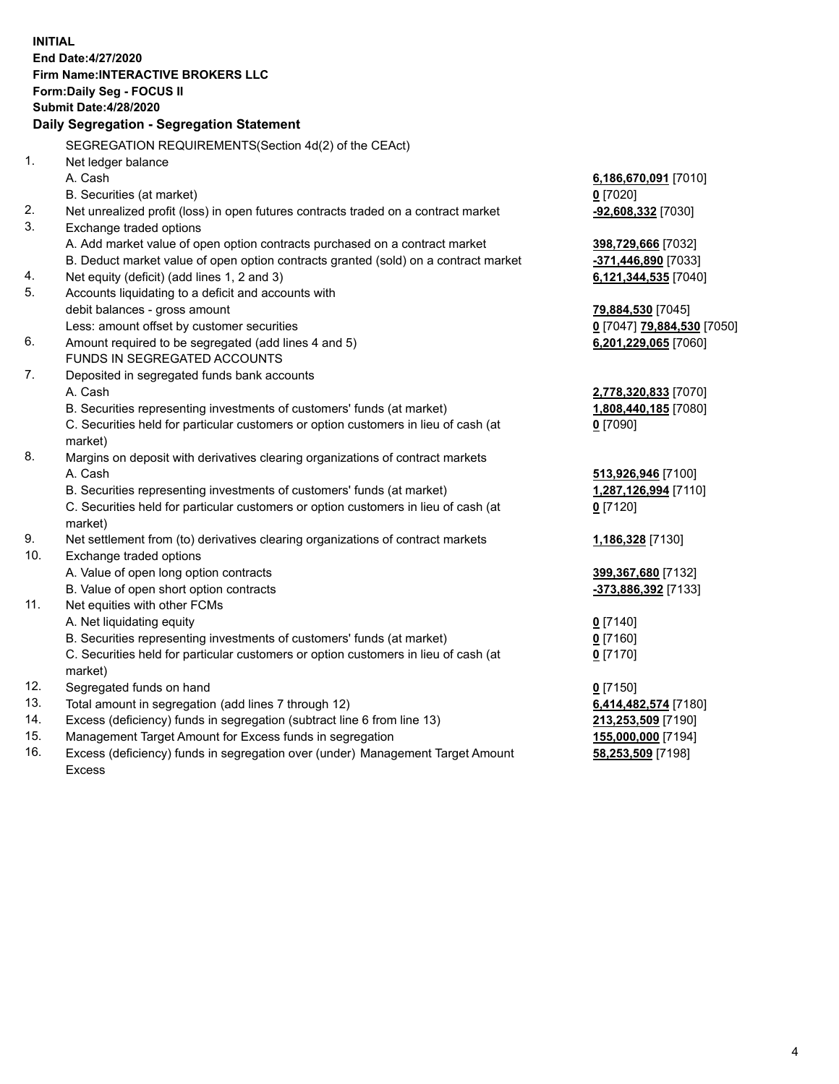**INITIAL End Date:4/27/2020 Firm Name:INTERACTIVE BROKERS LLC Form:Daily Seg - FOCUS II Submit Date:4/28/2020 Daily Segregation - Segregation Statement** SEGREGATION REQUIREMENTS(Section 4d(2) of the CEAct) 1. Net ledger balance A. Cash **6,186,670,091** [7010] B. Securities (at market) **0** [7020] 2. Net unrealized profit (loss) in open futures contracts traded on a contract market **-92,608,332** [7030] 3. Exchange traded options A. Add market value of open option contracts purchased on a contract market **398,729,666** [7032] B. Deduct market value of open option contracts granted (sold) on a contract market **-371,446,890** [7033] 4. Net equity (deficit) (add lines 1, 2 and 3) **6,121,344,535** [7040] 5. Accounts liquidating to a deficit and accounts with debit balances - gross amount **79,884,530** [7045] Less: amount offset by customer securities **0** [7047] **79,884,530** [7050] 6. Amount required to be segregated (add lines 4 and 5) **6,201,229,065** [7060] FUNDS IN SEGREGATED ACCOUNTS 7. Deposited in segregated funds bank accounts A. Cash **2,778,320,833** [7070] B. Securities representing investments of customers' funds (at market) **1,808,440,185** [7080] C. Securities held for particular customers or option customers in lieu of cash (at market) **0** [7090] 8. Margins on deposit with derivatives clearing organizations of contract markets A. Cash **513,926,946** [7100] B. Securities representing investments of customers' funds (at market) **1,287,126,994** [7110] C. Securities held for particular customers or option customers in lieu of cash (at market) **0** [7120] 9. Net settlement from (to) derivatives clearing organizations of contract markets **1,186,328** [7130] 10. Exchange traded options A. Value of open long option contracts **399,367,680** [7132] B. Value of open short option contracts **-373,886,392** [7133] 11. Net equities with other FCMs A. Net liquidating equity **0** [7140] B. Securities representing investments of customers' funds (at market) **0** [7160] C. Securities held for particular customers or option customers in lieu of cash (at market) **0** [7170] 12. Segregated funds on hand **0** [7150] 13. Total amount in segregation (add lines 7 through 12) **6,414,482,574** [7180] 14. Excess (deficiency) funds in segregation (subtract line 6 from line 13) **213,253,509** [7190] 15. Management Target Amount for Excess funds in segregation **155,000,000** [7194] **58,253,509** [7198]

16. Excess (deficiency) funds in segregation over (under) Management Target Amount Excess